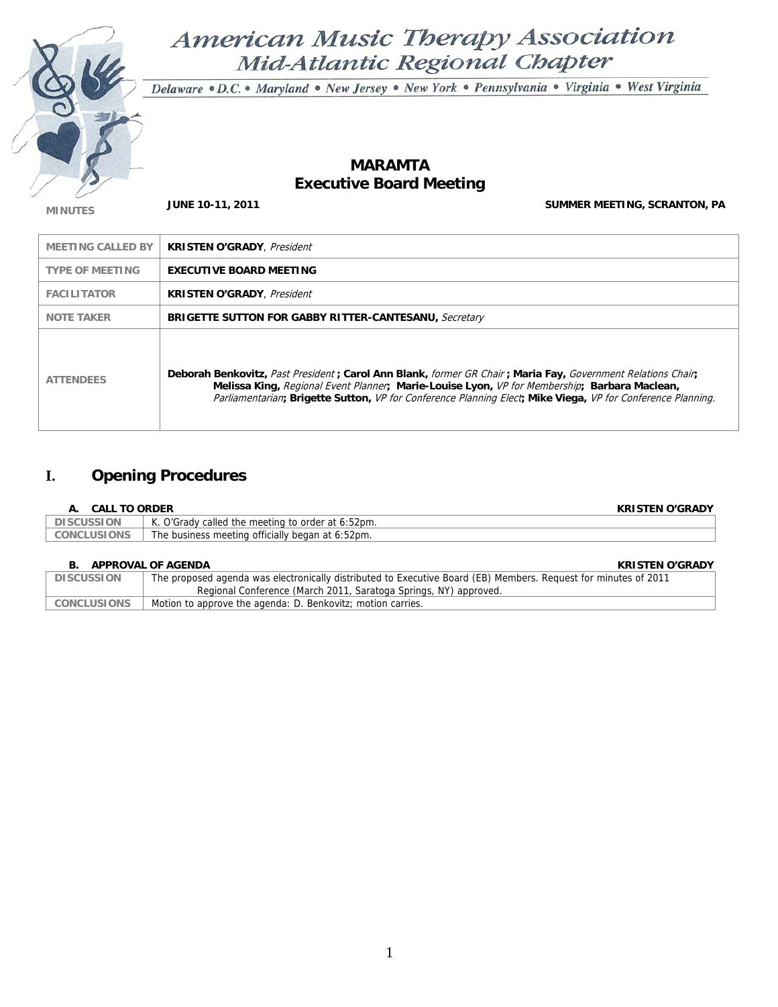

# American Music Therapy Association Mid-Atlantic Regional Chapter

Delaware · D.C. · Maryland · New Jersey · New York · Pennsylvania · Virginia · West Virginia

## **MARAMTA Executive Board Meeting**

**MINUTES JUNE 10-11, 2011 JUNE 10-11, 2011 SUMMER MEETING, SCRANTON, PA** 

| <b>MEETING CALLED BY</b> | <b>KRISTEN O'GRADY</b> , <i>President</i>                                                                                                                                                                                                                                                                                  |
|--------------------------|----------------------------------------------------------------------------------------------------------------------------------------------------------------------------------------------------------------------------------------------------------------------------------------------------------------------------|
| <b>TYPE OF MEETING</b>   | <b>EXECUTIVE BOARD MEETING</b>                                                                                                                                                                                                                                                                                             |
| <b>FACILITATOR</b>       | <b>KRISTEN O'GRADY</b> , <i>President</i>                                                                                                                                                                                                                                                                                  |
| <b>NOTE TAKER</b>        | <b>BRIGETTE SUTTON FOR GABBY RITTER-CANTESANU, Secretary</b>                                                                                                                                                                                                                                                               |
| <b>ATTENDEES</b>         | Deborah Benkovitz, Past President; Carol Ann Blank, former GR Chair; Maria Fay, Government Relations Chair,<br>Melissa King, Regional Event Planner, Marie-Louise Lyon, VP for Membership; Barbara Maclean,<br>Parliamentarian; Brigette Sutton, VP for Conference Planning Elect; Mike Viega, VP for Conference Planning. |

## **I. Opening Procedures**

### **A. CALL TO ORDER KRISTEN O'GRADY**

| . .<br>V          | $\sim$                                                               |
|-------------------|----------------------------------------------------------------------|
| <b>DISCUSSION</b> | $\mathbf{z}$<br>O'Grady called the meeting to order at 6:52pm.<br>K. |
| .USIONS<br>CONCL  | The business meeting officially began at 6:52pm.                     |

### **B. APPROVAL OF AGENDA KRISTEN O'GRADY**

|                    | .                                                                                                               |
|--------------------|-----------------------------------------------------------------------------------------------------------------|
| <b>DISCUSSION</b>  | The proposed agenda was electronically distributed to Executive Board (EB) Members. Request for minutes of 2011 |
|                    | Regional Conference (March 2011, Saratoga Springs, NY) approved.                                                |
| <b>CONCLUSIONS</b> | Motion to approve the agenda: D. Benkovitz; motion carries.                                                     |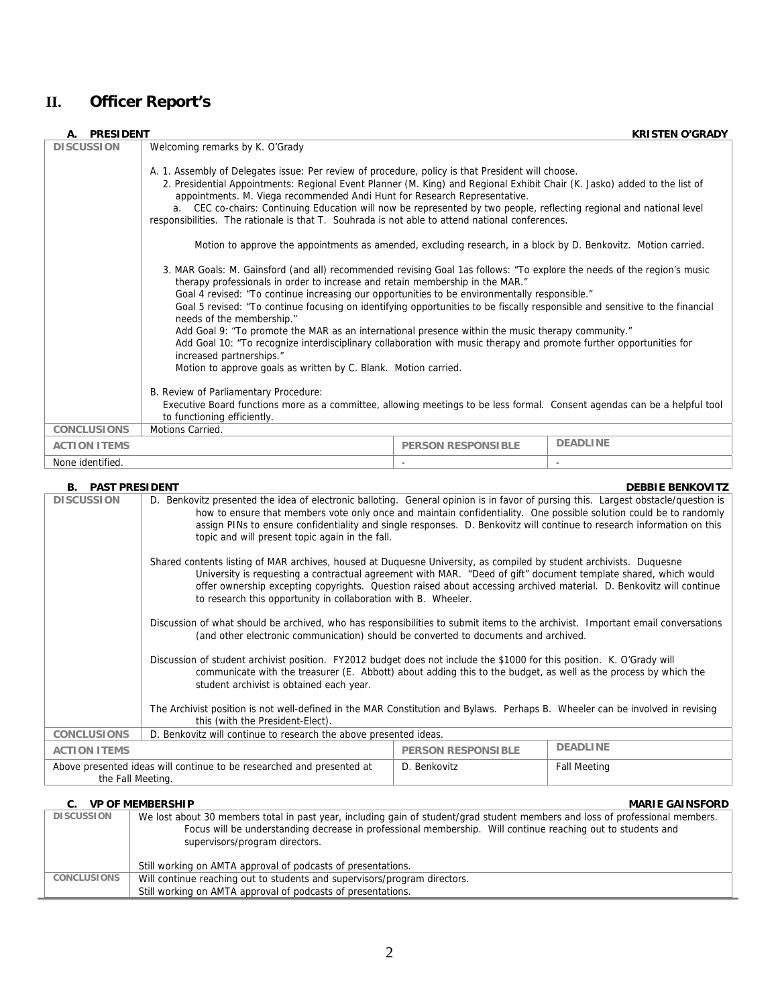## **II. Officer Report's**

| <b>PRESIDENT</b>    |                                                                                                                                                                                                                                                                                                                                                                                                                                                                                                                                                                                                                                                                                                                                                                                                   |                           | <b>KRISTEN O'GRADY</b> |  |
|---------------------|---------------------------------------------------------------------------------------------------------------------------------------------------------------------------------------------------------------------------------------------------------------------------------------------------------------------------------------------------------------------------------------------------------------------------------------------------------------------------------------------------------------------------------------------------------------------------------------------------------------------------------------------------------------------------------------------------------------------------------------------------------------------------------------------------|---------------------------|------------------------|--|
| <b>DISCUSSION</b>   | Welcoming remarks by K. O'Grady                                                                                                                                                                                                                                                                                                                                                                                                                                                                                                                                                                                                                                                                                                                                                                   |                           |                        |  |
|                     | A. 1. Assembly of Delegates issue: Per review of procedure, policy is that President will choose.<br>2. Presidential Appointments: Regional Event Planner (M. King) and Regional Exhibit Chair (K. Jasko) added to the list of<br>appointments. M. Viega recommended Andi Hunt for Research Representative.<br>a. CEC co-chairs: Continuing Education will now be represented by two people, reflecting regional and national level<br>responsibilities. The rationale is that T. Souhrada is not able to attend national conferences.                                                                                                                                                                                                                                                            |                           |                        |  |
|                     | Motion to approve the appointments as amended, excluding research, in a block by D. Benkovitz. Motion carried.                                                                                                                                                                                                                                                                                                                                                                                                                                                                                                                                                                                                                                                                                    |                           |                        |  |
|                     | 3. MAR Goals: M. Gainsford (and all) recommended revising Goal 1as follows: "To explore the needs of the region's music<br>therapy professionals in order to increase and retain membership in the MAR."<br>Goal 4 revised: "To continue increasing our opportunities to be environmentally responsible."<br>Goal 5 revised: "To continue focusing on identifying opportunities to be fiscally responsible and sensitive to the financial<br>needs of the membership."<br>Add Goal 9: "To promote the MAR as an international presence within the music therapy community."<br>Add Goal 10: "To recognize interdisciplinary collaboration with music therapy and promote further opportunities for<br>increased partnerships."<br>Motion to approve goals as written by C. Blank. Motion carried. |                           |                        |  |
|                     | B. Review of Parliamentary Procedure:<br>Executive Board functions more as a committee, allowing meetings to be less formal. Consent agendas can be a helpful tool<br>to functioning efficiently.                                                                                                                                                                                                                                                                                                                                                                                                                                                                                                                                                                                                 |                           |                        |  |
| <b>CONCLUSIONS</b>  | Motions Carried.                                                                                                                                                                                                                                                                                                                                                                                                                                                                                                                                                                                                                                                                                                                                                                                  |                           |                        |  |
| <b>ACTION ITEMS</b> |                                                                                                                                                                                                                                                                                                                                                                                                                                                                                                                                                                                                                                                                                                                                                                                                   | <b>PERSON RESPONSIBLE</b> | <b>DEADLINE</b>        |  |
| None identified.    |                                                                                                                                                                                                                                                                                                                                                                                                                                                                                                                                                                                                                                                                                                                                                                                                   |                           |                        |  |

| <b>B. PAST PRESIDENT</b> |                                                                                                                                                                                                                                                                                                                                                                                                                                       |                           | <b>DEBBIE BENKOVITZ</b> |  |  |
|--------------------------|---------------------------------------------------------------------------------------------------------------------------------------------------------------------------------------------------------------------------------------------------------------------------------------------------------------------------------------------------------------------------------------------------------------------------------------|---------------------------|-------------------------|--|--|
| <b>DISCUSSION</b>        | D. Benkovitz presented the idea of electronic balloting. General opinion is in favor of pursing this. Largest obstacle/question is<br>how to ensure that members vote only once and maintain confidentiality. One possible solution could be to randomly<br>assign PINs to ensure confidentiality and single responses. D. Benkovitz will continue to research information on this<br>topic and will present topic again in the fall. |                           |                         |  |  |
|                          | Shared contents listing of MAR archives, housed at Duquesne University, as compiled by student archivists. Duquesne<br>University is requesting a contractual agreement with MAR. "Deed of gift" document template shared, which would<br>offer ownership excepting copyrights. Question raised about accessing archived material. D. Benkovitz will continue<br>to research this opportunity in collaboration with B. Wheeler.       |                           |                         |  |  |
|                          | Discussion of what should be archived, who has responsibilities to submit items to the archivist. Important email conversations<br>(and other electronic communication) should be converted to documents and archived.                                                                                                                                                                                                                |                           |                         |  |  |
|                          | Discussion of student archivist position. FY2012 budget does not include the \$1000 for this position. K. O'Grady will<br>communicate with the treasurer (E. Abbott) about adding this to the budget, as well as the process by which the<br>student archivist is obtained each year.                                                                                                                                                 |                           |                         |  |  |
|                          | The Archivist position is not well-defined in the MAR Constitution and Bylaws. Perhaps B. Wheeler can be involved in revising<br>this (with the President-Elect).                                                                                                                                                                                                                                                                     |                           |                         |  |  |
| <b>CONCLUSIONS</b>       | D. Benkovitz will continue to research the above presented ideas.                                                                                                                                                                                                                                                                                                                                                                     |                           |                         |  |  |
| <b>ACTION ITEMS</b>      |                                                                                                                                                                                                                                                                                                                                                                                                                                       | <b>PERSON RESPONSIBLE</b> | <b>DEADLINE</b>         |  |  |
| the Fall Meeting.        | Above presented ideas will continue to be researched and presented at                                                                                                                                                                                                                                                                                                                                                                 | D. Benkovitz              | <b>Fall Meeting</b>     |  |  |

### **C. VP OF MEMBERSHIP MARIE GAINSFORD**<br>DISCUSSION We lost about 30 members total in past year, including gain of student/grad student members and loss of professional members. We lost about 30 members total in past year, including gain of student/grad student members and loss of professional members. Focus will be understanding decrease in professional membership. Will continue reaching out to students and supervisors/program directors. Still working on AMTA approval of podcasts of presentations. **CONCLUSIONS** Will continue reaching out to students and supervisors/program directors. Still working on AMTA approval of podcasts of presentations.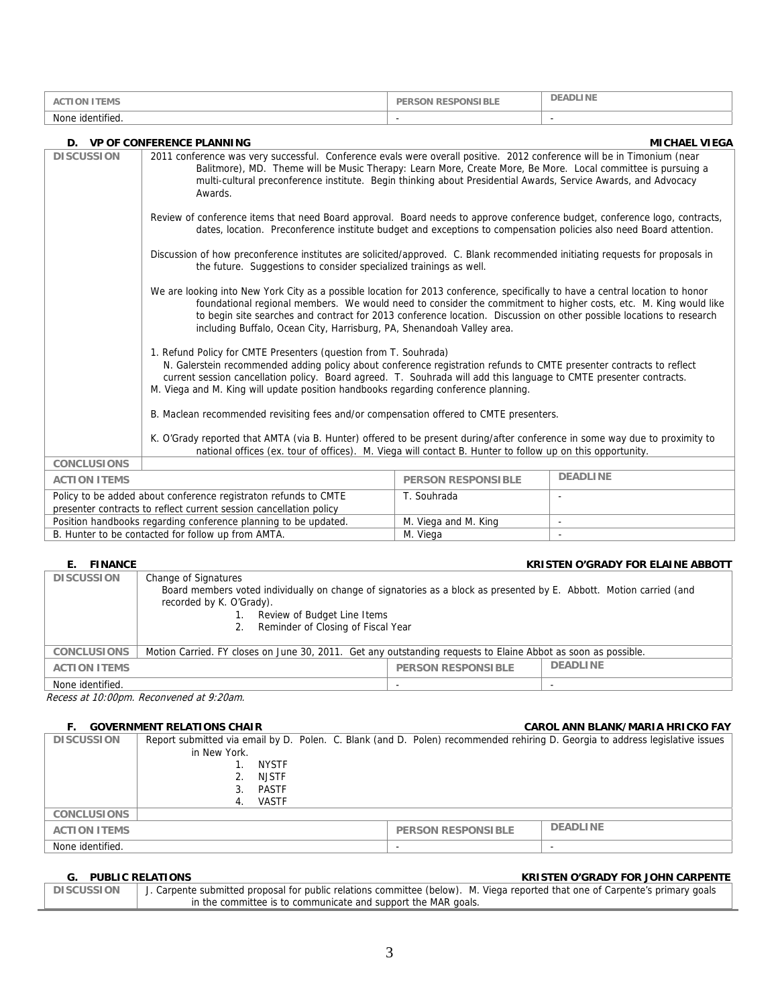| <b>ACTION ITEMS</b>                                                 |                                                                                                                                                                                                                                                                                                                                                                                                                                                                                                | <b>PERSON RESPONSIBLE</b> | <b>DEADLINE</b>      |  |  |
|---------------------------------------------------------------------|------------------------------------------------------------------------------------------------------------------------------------------------------------------------------------------------------------------------------------------------------------------------------------------------------------------------------------------------------------------------------------------------------------------------------------------------------------------------------------------------|---------------------------|----------------------|--|--|
| None identified.                                                    |                                                                                                                                                                                                                                                                                                                                                                                                                                                                                                |                           |                      |  |  |
|                                                                     |                                                                                                                                                                                                                                                                                                                                                                                                                                                                                                |                           |                      |  |  |
| <b>DISCUSSION</b>                                                   | D. VP OF CONFERENCE PLANNING                                                                                                                                                                                                                                                                                                                                                                                                                                                                   |                           | <b>MICHAEL VIEGA</b> |  |  |
|                                                                     | 2011 conference was very successful. Conference evals were overall positive. 2012 conference will be in Timonium (near<br>Balitmore), MD. Theme will be Music Therapy: Learn More, Create More, Be More. Local committee is pursuing a<br>multi-cultural preconference institute. Begin thinking about Presidential Awards, Service Awards, and Advocacy<br>Awards.                                                                                                                            |                           |                      |  |  |
|                                                                     | Review of conference items that need Board approval. Board needs to approve conference budget, conference logo, contracts,<br>dates, location. Preconference institute budget and exceptions to compensation policies also need Board attention.                                                                                                                                                                                                                                               |                           |                      |  |  |
|                                                                     | Discussion of how preconference institutes are solicited/approved. C. Blank recommended initiating requests for proposals in<br>the future. Suggestions to consider specialized trainings as well.                                                                                                                                                                                                                                                                                             |                           |                      |  |  |
|                                                                     | We are looking into New York City as a possible location for 2013 conference, specifically to have a central location to honor<br>foundational regional members. We would need to consider the commitment to higher costs, etc. M. King would like<br>to begin site searches and contract for 2013 conference location. Discussion on other possible locations to research<br>including Buffalo, Ocean City, Harrisburg, PA, Shenandoah Valley area.                                           |                           |                      |  |  |
|                                                                     | 1. Refund Policy for CMTE Presenters (question from T. Souhrada)<br>N. Galerstein recommended adding policy about conference registration refunds to CMTE presenter contracts to reflect<br>current session cancellation policy. Board agreed. T. Souhrada will add this language to CMTE presenter contracts.<br>M. Viega and M. King will update position handbooks regarding conference planning.<br>B. Maclean recommended revisiting fees and/or compensation offered to CMTE presenters. |                           |                      |  |  |
|                                                                     | K. O'Grady reported that AMTA (via B. Hunter) offered to be present during/after conference in some way due to proximity to<br>national offices (ex. tour of offices). M. Viega will contact B. Hunter to follow up on this opportunity.                                                                                                                                                                                                                                                       |                           |                      |  |  |
| <b>CONCLUSIONS</b>                                                  |                                                                                                                                                                                                                                                                                                                                                                                                                                                                                                |                           |                      |  |  |
| <b>DEADLINE</b><br><b>ACTION ITEMS</b><br><b>PERSON RESPONSIBLE</b> |                                                                                                                                                                                                                                                                                                                                                                                                                                                                                                |                           |                      |  |  |
|                                                                     | Policy to be added about conference registraton refunds to CMTE<br>T. Souhrada<br>presenter contracts to reflect current session cancellation policy                                                                                                                                                                                                                                                                                                                                           |                           |                      |  |  |
|                                                                     | Position handbooks regarding conference planning to be updated.<br>M. Viega and M. King                                                                                                                                                                                                                                                                                                                                                                                                        |                           |                      |  |  |
| B. Hunter to be contacted for follow up from AMTA.<br>M. Viega      |                                                                                                                                                                                                                                                                                                                                                                                                                                                                                                |                           |                      |  |  |

### **E. FINANCE KRISTEN O'GRADY FOR ELAINE ABBOTT**

| <b>DISCUSSION</b>   | Change of Signatures<br>Board members voted individually on change of signatories as a block as presented by E. Abbott. Motion carried (and<br>recorded by K. O'Grady). |                           |                 |  |
|---------------------|-------------------------------------------------------------------------------------------------------------------------------------------------------------------------|---------------------------|-----------------|--|
|                     | Review of Budget Line Items                                                                                                                                             |                           |                 |  |
|                     | Reminder of Closing of Fiscal Year                                                                                                                                      |                           |                 |  |
|                     |                                                                                                                                                                         |                           |                 |  |
| <b>CONCLUSIONS</b>  | Motion Carried. FY closes on June 30, 2011. Get any outstanding requests to Elaine Abbot as soon as possible.                                                           |                           |                 |  |
| <b>ACTION ITEMS</b> |                                                                                                                                                                         | <b>PERSON RESPONSIBLE</b> | <b>DEADLINE</b> |  |
| None identified.    | .                                                                                                                                                                       |                           |                 |  |

Recess at 10:00pm. Reconvened at 9:20am.

#### **F. GOVERNMENT RELATIONS CHAIR CAROL ANN BLANK/MARIA HRICKO FAY**

| <b>1. OVVERINIVIENT REEATIONS CHAIR</b> |              |       |  | <u>CAROL ANNI DEANN MARTA HRICKO LA L</u> |                                                                                                                               |
|-----------------------------------------|--------------|-------|--|-------------------------------------------|-------------------------------------------------------------------------------------------------------------------------------|
| <b>DISCUSSION</b>                       |              |       |  |                                           | Report submitted via email by D. Polen. C. Blank (and D. Polen) recommended rehiring D. Georgia to address legislative issues |
|                                         | in New York. |       |  |                                           |                                                                                                                               |
|                                         |              | NYSTF |  |                                           |                                                                                                                               |
|                                         |              | NJSTF |  |                                           |                                                                                                                               |
|                                         |              | PASTF |  |                                           |                                                                                                                               |
|                                         | 4.           | VASTF |  |                                           |                                                                                                                               |
| <b>CONCLUSIONS</b>                      |              |       |  |                                           |                                                                                                                               |
| <b>ACTION ITEMS</b>                     |              |       |  | <b>PERSON RESPONSIBLE</b>                 | <b>DEADLINE</b>                                                                                                               |
| None identified.                        |              |       |  |                                           |                                                                                                                               |
|                                         |              |       |  |                                           |                                                                                                                               |

### **G. PUBLIC RELATIONS KRISTEN O'GRADY FOR JOHN CARPENTE**

| <b>DISCUSSION</b> | J. Carpente submitted proposal for public relations committee (below). M. Viega reported that one of Carpente's primary goals |
|-------------------|-------------------------------------------------------------------------------------------------------------------------------|
|                   | in the committee is to communicate and support the MAR goals.                                                                 |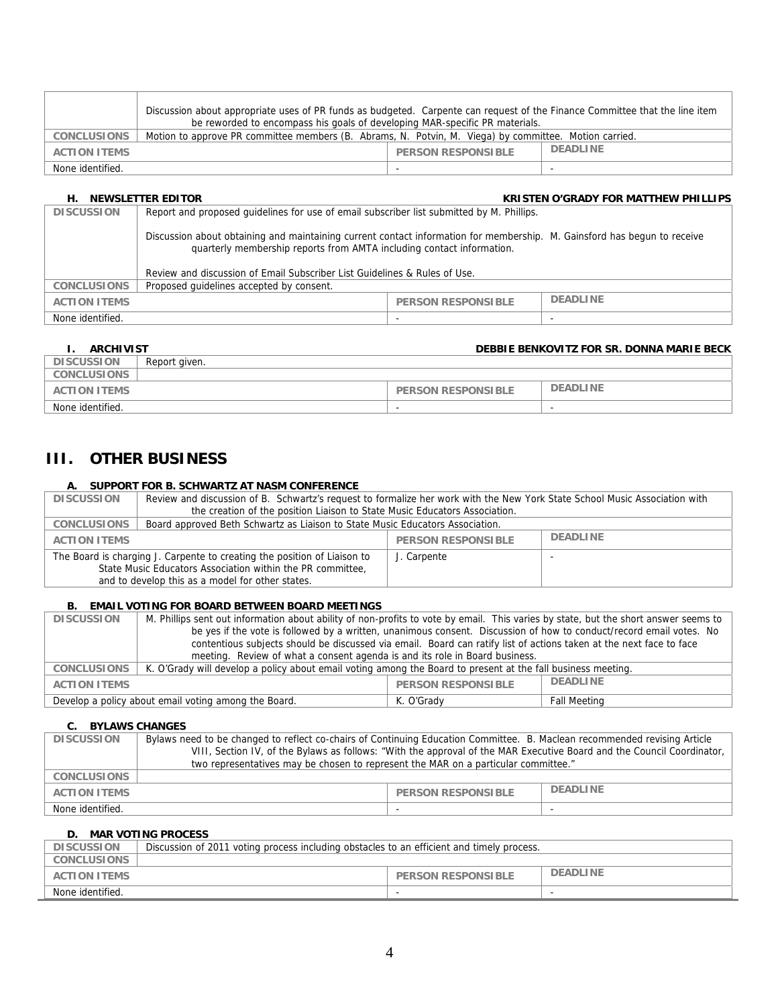|                     | Discussion about appropriate uses of PR funds as budgeted. Carpente can request of the Finance Committee that the line item<br>be reworded to encompass his goals of developing MAR-specific PR materials. |                           |                 |  |
|---------------------|------------------------------------------------------------------------------------------------------------------------------------------------------------------------------------------------------------|---------------------------|-----------------|--|
| <b>CONCLUSIONS</b>  | Motion to approve PR committee members (B. Abrams, N. Potvin, M. Viega) by committee. Motion carried.                                                                                                      |                           |                 |  |
| <b>ACTION ITEMS</b> |                                                                                                                                                                                                            | <b>PERSON RESPONSIBLE</b> | <b>DEADLINE</b> |  |
| None identified.    |                                                                                                                                                                                                            | $\overline{\phantom{0}}$  |                 |  |

#### **H. NEWSLETTER EDITOR KRISTEN O'GRADY FOR MATTHEW PHILLIPS**

| <b>DISCUSSION</b>   | Report and proposed quidelines for use of email subscriber list submitted by M. Phillips.                                                                                                         |                           |                 |  |
|---------------------|---------------------------------------------------------------------------------------------------------------------------------------------------------------------------------------------------|---------------------------|-----------------|--|
|                     | Discussion about obtaining and maintaining current contact information for membership. M. Gainsford has begun to receive<br>quarterly membership reports from AMTA including contact information. |                           |                 |  |
|                     | Review and discussion of Email Subscriber List Guidelines & Rules of Use.                                                                                                                         |                           |                 |  |
| <b>CONCLUSIONS</b>  | Proposed quidelines accepted by consent.                                                                                                                                                          |                           |                 |  |
| <b>ACTION ITEMS</b> |                                                                                                                                                                                                   | <b>PERSON RESPONSIBLE</b> | <b>DEADLINE</b> |  |
| None identified.    |                                                                                                                                                                                                   |                           |                 |  |

## **I. ARCHIVIST DEBBIE BENKOVITZ FOR SR. DONNA MARIE BECK**

| <b>DISCUSSION</b>   | Report aiven. |                           |                 |
|---------------------|---------------|---------------------------|-----------------|
| <b>CONCLUSIONS</b>  |               |                           |                 |
| <b>ACTION ITEMS</b> |               | <b>PERSON RESPONSIBLE</b> | <b>DEADLINE</b> |
| None identified.    |               | $\overline{\phantom{a}}$  | -               |

## **III. OTHER BUSINESS**

### **A. SUPPORT FOR B. SCHWARTZ AT NASM CONFERENCE**

| <b>DISCUSSION</b>                                                                                                                                                                          | Review and discussion of B. Schwartz's request to formalize her work with the New York State School Music Association with |                           |                 |
|--------------------------------------------------------------------------------------------------------------------------------------------------------------------------------------------|----------------------------------------------------------------------------------------------------------------------------|---------------------------|-----------------|
|                                                                                                                                                                                            | the creation of the position Liaison to State Music Educators Association.                                                 |                           |                 |
| Board approved Beth Schwartz as Liaison to State Music Educators Association.<br><b>CONCLUSIONS</b>                                                                                        |                                                                                                                            |                           |                 |
| <b>ACTION ITEMS</b>                                                                                                                                                                        |                                                                                                                            | <b>PERSON RESPONSIBLE</b> | <b>DEADLINE</b> |
| The Board is charging J. Carpente to creating the position of Liaison to<br>State Music Educators Association within the PR committee,<br>and to develop this as a model for other states. |                                                                                                                            | J. Carpente               |                 |

#### **B. EMAIL VOTING FOR BOARD BETWEEN BOARD MEETINGS**

| <b>DISCUSSION</b>                                                   | M. Phillips sent out information about ability of non-profits to vote by email. This varies by state, but the short answer seems to |            |                     |
|---------------------------------------------------------------------|-------------------------------------------------------------------------------------------------------------------------------------|------------|---------------------|
|                                                                     | be yes if the vote is followed by a written, unanimous consent. Discussion of how to conduct/record email votes. No                 |            |                     |
|                                                                     | contentious subjects should be discussed via email. Board can ratify list of actions taken at the next face to face                 |            |                     |
|                                                                     | meeting. Review of what a consent agenda is and its role in Board business.                                                         |            |                     |
| <b>CONCLUSIONS</b>                                                  | K. O'Grady will develop a policy about email voting among the Board to present at the fall business meeting.                        |            |                     |
| <b>DEADLINE</b><br><b>PERSON RESPONSIBLE</b><br><b>ACTION ITEMS</b> |                                                                                                                                     |            |                     |
| Develop a policy about email voting among the Board.                |                                                                                                                                     | K. O'Grady | <b>Fall Meeting</b> |

#### **C. BYLAWS CHANGES**

| <b>DISCUSSION</b>   | Bylaws need to be changed to reflect co-chairs of Continuing Education Committee. B. Maclean recommended revising Article<br>VIII, Section IV, of the Bylaws as follows: "With the approval of the MAR Executive Board and the Council Coordinator, |                           |                 |
|---------------------|-----------------------------------------------------------------------------------------------------------------------------------------------------------------------------------------------------------------------------------------------------|---------------------------|-----------------|
|                     |                                                                                                                                                                                                                                                     |                           |                 |
|                     | two representatives may be chosen to represent the MAR on a particular committee."                                                                                                                                                                  |                           |                 |
|                     |                                                                                                                                                                                                                                                     |                           |                 |
| <b>CONCLUSIONS</b>  |                                                                                                                                                                                                                                                     |                           |                 |
|                     |                                                                                                                                                                                                                                                     |                           |                 |
| <b>ACTION ITEMS</b> |                                                                                                                                                                                                                                                     | <b>PERSON RESPONSIBLE</b> | <b>DEADLINE</b> |
|                     |                                                                                                                                                                                                                                                     |                           |                 |
| None identified.    |                                                                                                                                                                                                                                                     |                           |                 |
|                     |                                                                                                                                                                                                                                                     |                           |                 |

#### **D. MAR VOTING PROCESS**

| <b>DISCUSSION</b>   | Discussion of 2011 voting process including obstacles to an efficient and timely process. |                           |                 |
|---------------------|-------------------------------------------------------------------------------------------|---------------------------|-----------------|
| CONCLUSIONS         |                                                                                           |                           |                 |
| <b>ACTION ITEMS</b> |                                                                                           | <b>PERSON RESPONSIBLE</b> | <b>DEADLINE</b> |
| None identified.    |                                                                                           |                           |                 |